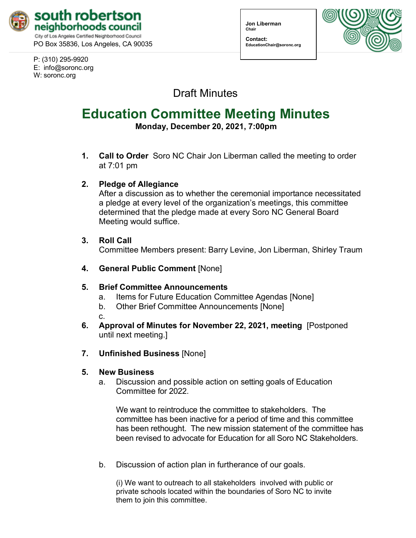

PO Box 35836, Los Angeles, CA 90035

P: (310) 295-9920 E: [info@soronc.org](mailto:info@soronc.org) W: soronc.org

**Jon Liberman Chair**

**Contact: [EducationChair@soronc.org](mailto:EducationChair@soronc.org)**



Draft Minutes

# **Education Committee Meeting Minutes**

**Monday, December 20, 2021, 7:00pm**

**1. Call to Order** Soro NC Chair Jon Liberman called the meeting to order at 7:01 pm

#### **2. Pledge of Allegiance**

After a discussion as to whether the ceremonial importance necessitated a pledge at every level of the organization's meetings, this committee determined that the pledge made at every Soro NC General Board Meeting would suffice.

#### **3. Roll Call**

Committee Members present: Barry Levine, Jon Liberman, Shirley Traum

**4. General Public Comment** [None]

## **5. Brief Committee Announcements**

- a. Items for Future Education Committee Agendas [None]
- b. Other Brief Committee Announcements [None]

c.

**6. Approval of Minutes for November 22, 2021, meeting** [Postponed until next meeting.]

# **7. Unfinished Business** [None]

## **5. New Business**

a. Discussion and possible action on setting goals of Education Committee for 2022.

We want to reintroduce the committee to stakeholders. The committee has been inactive for a period of time and this committee has been rethought. The new mission statement of the committee has been revised to advocate for Education for all Soro NC Stakeholders.

b. Discussion of action plan in furtherance of our goals.

(i) We want to outreach to all stakeholders involved with public or private schools located within the boundaries of Soro NC to invite them to join this committee.